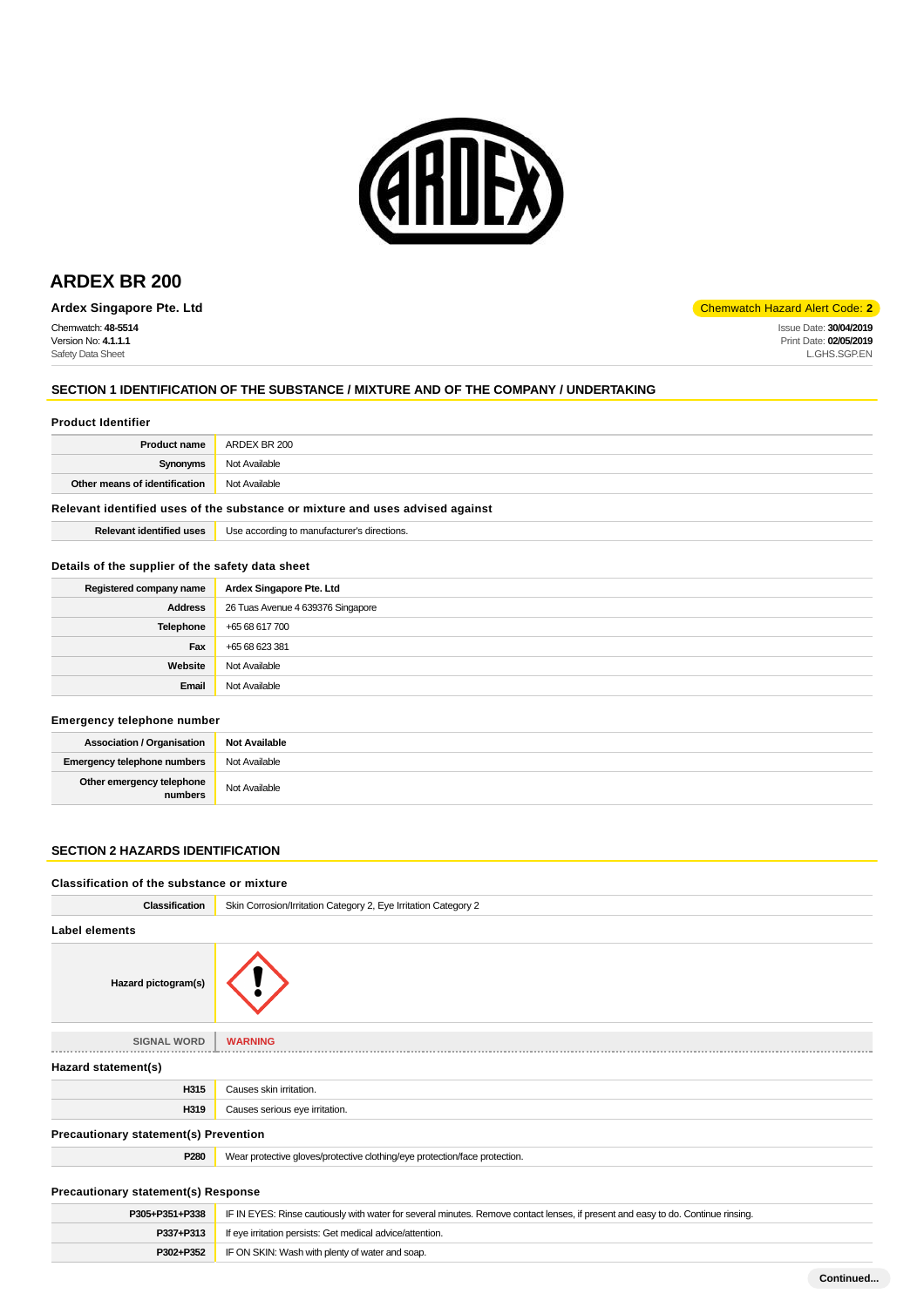

# **ARDEX BR 200**

**Ardex Singapore Pte. Ltd** Chemwatch Hazard Alert Code: **2** 

Chemwatch: **48-5514** Version No: **4.1.1.1** Safety Data Sheet

Issue Date: **30/04/2019** Print Date: **02/05/2019** L.GHS.SGP.EN

## **SECTION 1 IDENTIFICATION OF THE SUBSTANCE / MIXTURE AND OF THE COMPANY / UNDERTAKING**

#### **Product Identifier**

|                                                    | <b>Product name</b> ARDEX BR 200 |  |
|----------------------------------------------------|----------------------------------|--|
| Synonyms                                           | Not Available                    |  |
| <b>Other means of identification</b> Not Available |                                  |  |
|                                                    |                                  |  |

## **Relevant identified uses of the substance or mixture and uses advised against**

**P302+P352** IF ON SKIN: Wash with plenty of water and soap.

|  | <b>Relevant identified uses</b> | Use according to manufacturer's directions. |
|--|---------------------------------|---------------------------------------------|
|--|---------------------------------|---------------------------------------------|

## **Details of the supplier of the safety data sheet**

| Registered company name | Ardex Singapore Pte. Ltd          |
|-------------------------|-----------------------------------|
| Address                 | 26 Tuas Avenue 4 639376 Singapore |
| Telephone               | +65 68 617 700                    |
| Fax                     | +65 68 623 381                    |
| Website                 | Not Available                     |
| Email                   | Not Available                     |

## **Emergency telephone number**

| <b>Association / Organisation</b>    | Not Available |  |  |  |
|--------------------------------------|---------------|--|--|--|
| <b>Emergency telephone numbers</b>   | Not Available |  |  |  |
| Other emergency telephone<br>numbers | Not Available |  |  |  |

## **SECTION 2 HAZARDS IDENTIFICATION**

## **Classification of the substance or mixture**

| <b>Classification</b>                        | Skin Corrosion/Irritation Category 2, Eye Irritation Category 2                                                                  |
|----------------------------------------------|----------------------------------------------------------------------------------------------------------------------------------|
| <b>Label elements</b>                        |                                                                                                                                  |
| Hazard pictogram(s)                          |                                                                                                                                  |
| <b>SIGNAL WORD</b>                           | <b>WARNING</b>                                                                                                                   |
| Hazard statement(s)                          |                                                                                                                                  |
| H315                                         | Causes skin irritation.                                                                                                          |
| H319                                         | Causes serious eye irritation.                                                                                                   |
| <b>Precautionary statement(s) Prevention</b> |                                                                                                                                  |
| P280                                         | Wear protective gloves/protective clothing/eye protection/face protection.                                                       |
| <b>Precautionary statement(s) Response</b>   |                                                                                                                                  |
| P305+P351+P338                               | IF IN EYES: Rinse cautiously with water for several minutes. Remove contact lenses, if present and easy to do. Continue rinsing. |
| P337+P313                                    | If eye irritation persists: Get medical advice/attention.                                                                        |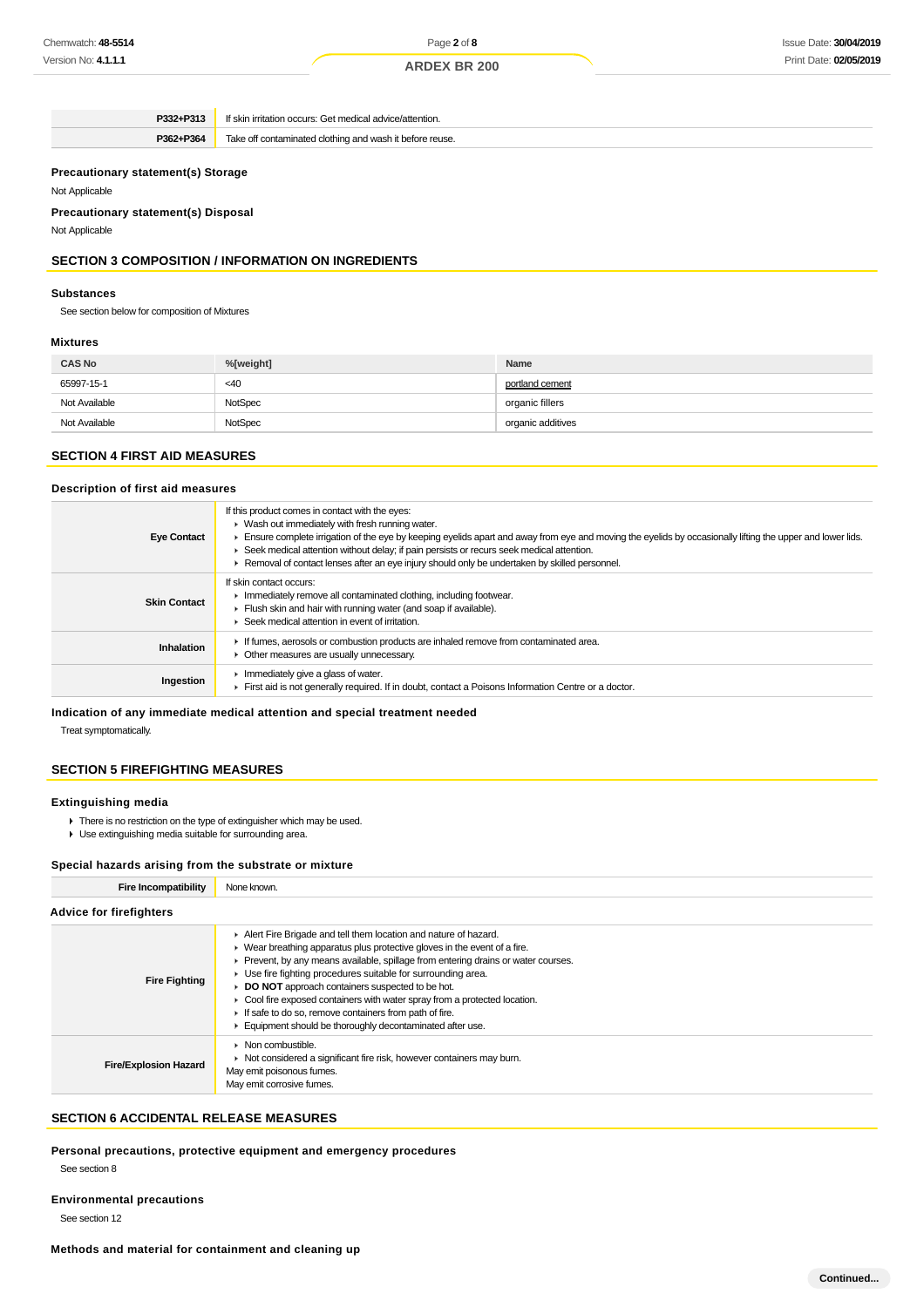Page **2** of **8**

**ARDEX BR 200**

**P332+P313** If skin irritation occurs: Get medical advice/attention. **P362+P364** Take off contaminated clothing and wash it before reuse.

## **Precautionary statement(s) Storage**

#### Not Applicable

**Precautionary statement(s) Disposal**

Not Applicable

## **SECTION 3 COMPOSITION / INFORMATION ON INGREDIENTS**

#### **Substances**

See section below for composition of Mixtures

#### **Mixtures**

| <b>CAS No</b> | %[weight] | Name              |
|---------------|-----------|-------------------|
| 65997-15-1    | $<$ 40    | portland cement   |
| Not Available | NotSpec   | organic fillers   |
| Not Available | NotSpec   | organic additives |

## **SECTION 4 FIRST AID MEASURES**

## **Description of first aid measures**

| <b>Eye Contact</b>  | If this product comes in contact with the eyes:<br>• Wash out immediately with fresh running water.<br>Ensure complete irrigation of the eye by keeping eyelids apart and away from eye and moving the eyelids by occasionally lifting the upper and lower lids.<br>► Seek medical attention without delay; if pain persists or recurs seek medical attention.<br>► Removal of contact lenses after an eye injury should only be undertaken by skilled personnel. |
|---------------------|-------------------------------------------------------------------------------------------------------------------------------------------------------------------------------------------------------------------------------------------------------------------------------------------------------------------------------------------------------------------------------------------------------------------------------------------------------------------|
| <b>Skin Contact</b> | If skin contact occurs:<br>Immediately remove all contaminated clothing, including footwear.<br>Flush skin and hair with running water (and soap if available).<br>Seek medical attention in event of irritation.                                                                                                                                                                                                                                                 |
| Inhalation          | If fumes, aerosols or combustion products are inhaled remove from contaminated area.<br>Other measures are usually unnecessary.                                                                                                                                                                                                                                                                                                                                   |
| Ingestion           | Immediately give a glass of water.<br>First aid is not generally required. If in doubt, contact a Poisons Information Centre or a doctor.                                                                                                                                                                                                                                                                                                                         |

## **Indication of any immediate medical attention and special treatment needed**

Treat symptomatically.

## **SECTION 5 FIREFIGHTING MEASURES**

#### **Extinguishing media**

- ▶ There is no restriction on the type of extinguisher which may be used.
- Use extinguishing media suitable for surrounding area.

## **Special hazards arising from the substrate or mixture**

| <b>Fire Incompatibility</b>    | None known.                                                                                                                                                                                                                                                                                                                                                                                                                                                                                                                                              |  |  |  |  |
|--------------------------------|----------------------------------------------------------------------------------------------------------------------------------------------------------------------------------------------------------------------------------------------------------------------------------------------------------------------------------------------------------------------------------------------------------------------------------------------------------------------------------------------------------------------------------------------------------|--|--|--|--|
| <b>Advice for firefighters</b> |                                                                                                                                                                                                                                                                                                                                                                                                                                                                                                                                                          |  |  |  |  |
| <b>Fire Fighting</b>           | Alert Fire Brigade and tell them location and nature of hazard.<br>• Wear breathing apparatus plus protective gloves in the event of a fire.<br>▶ Prevent, by any means available, spillage from entering drains or water courses.<br>► Use fire fighting procedures suitable for surrounding area.<br>DO NOT approach containers suspected to be hot.<br>Cool fire exposed containers with water spray from a protected location.<br>If safe to do so, remove containers from path of fire.<br>Equipment should be thoroughly decontaminated after use. |  |  |  |  |
| <b>Fire/Explosion Hazard</b>   | $\blacktriangleright$ Non combustible.<br>• Not considered a significant fire risk, however containers may burn.<br>May emit poisonous fumes.<br>May emit corrosive fumes.                                                                                                                                                                                                                                                                                                                                                                               |  |  |  |  |

## **SECTION 6 ACCIDENTAL RELEASE MEASURES**

**Personal precautions, protective equipment and emergency procedures**

See section 8

**Environmental precautions** See section 12

#### **Methods and material for containment and cleaning up**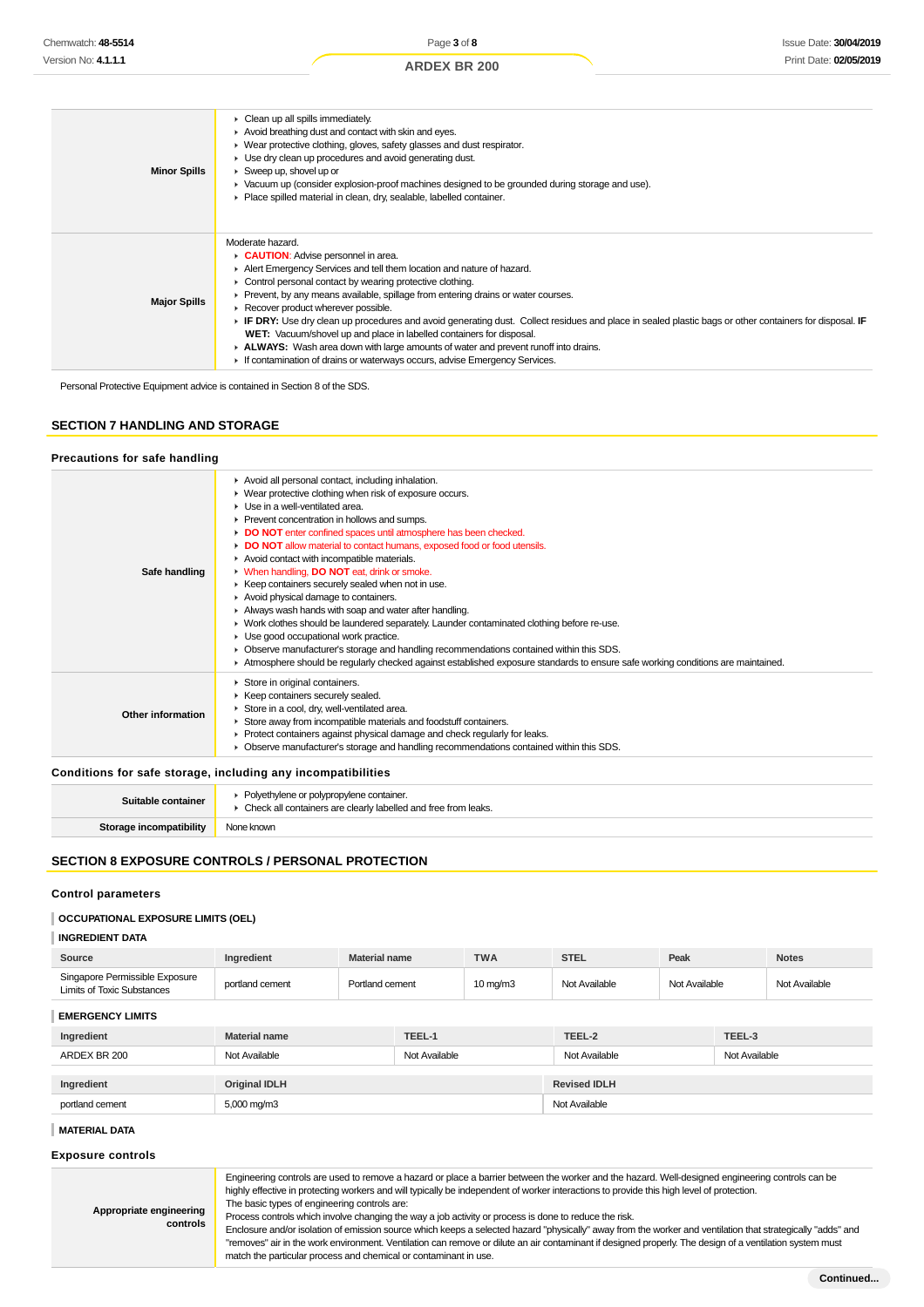| <b>Minor Spills</b> | Clean up all spills immediately.<br>Avoid breathing dust and contact with skin and eyes.<br>▶ Wear protective clothing, gloves, safety glasses and dust respirator.<br>► Use dry clean up procedures and avoid generating dust.<br>$\triangleright$ Sweep up, shovel up or<br>► Vacuum up (consider explosion-proof machines designed to be grounded during storage and use).<br>Place spilled material in clean, dry, sealable, labelled container.                                                                                                                                                                                                                                                                                   |
|---------------------|----------------------------------------------------------------------------------------------------------------------------------------------------------------------------------------------------------------------------------------------------------------------------------------------------------------------------------------------------------------------------------------------------------------------------------------------------------------------------------------------------------------------------------------------------------------------------------------------------------------------------------------------------------------------------------------------------------------------------------------|
| <b>Major Spills</b> | Moderate hazard.<br><b>CAUTION:</b> Advise personnel in area.<br>Alert Emergency Services and tell them location and nature of hazard.<br>Control personal contact by wearing protective clothing.<br>▶ Prevent, by any means available, spillage from entering drains or water courses.<br>Recover product wherever possible.<br>FIF DRY: Use dry clean up procedures and avoid generating dust. Collect residues and place in sealed plastic bags or other containers for disposal. IF<br>WET: Vacuum/shovel up and place in labelled containers for disposal.<br>► ALWAYS: Wash area down with large amounts of water and prevent runoff into drains.<br>If contamination of drains or waterways occurs, advise Emergency Services. |

Personal Protective Equipment advice is contained in Section 8 of the SDS.

## **SECTION 7 HANDLING AND STORAGE**

# **Precautions for safe handling**

|                          | Avoid all personal contact, including inhalation.<br>• Wear protective clothing when risk of exposure occurs.<br>$\blacktriangleright$ Use in a well-ventilated area.<br>Prevent concentration in hollows and sumps.                                                  |
|--------------------------|-----------------------------------------------------------------------------------------------------------------------------------------------------------------------------------------------------------------------------------------------------------------------|
| Safe handling            | DO NOT enter confined spaces until atmosphere has been checked.                                                                                                                                                                                                       |
|                          | • DO NOT allow material to contact humans, exposed food or food utensils.<br>Avoid contact with incompatible materials.<br>• When handling, <b>DO NOT</b> eat, drink or smoke.                                                                                        |
|                          | ▶ Keep containers securely sealed when not in use.<br>Avoid physical damage to containers.<br>Always wash hands with soap and water after handling.                                                                                                                   |
|                          | • Work clothes should be laundered separately. Launder contaminated clothing before re-use.<br>Use good occupational work practice.                                                                                                                                   |
|                          | • Observe manufacturer's storage and handling recommendations contained within this SDS.<br>Atmosphere should be regularly checked against established exposure standards to ensure safe working conditions are maintained.                                           |
| <b>Other information</b> | Store in original containers.<br>▶ Keep containers securely sealed.<br>Store in a cool, dry, well-ventilated area.<br>Store away from incompatible materials and foodstuff containers.<br>▶ Protect containers against physical damage and check regularly for leaks. |
|                          | • Observe manufacturer's storage and handling recommendations contained within this SDS.                                                                                                                                                                              |

## **Conditions for safe storage, including any incompatibilities**

| Suitable container             | • Polyethylene or polypropylene container.<br>▶ Check all containers are clearly labelled and free from leaks. |
|--------------------------------|----------------------------------------------------------------------------------------------------------------|
| <b>Storage incompatibility</b> | None known                                                                                                     |
|                                |                                                                                                                |

## **SECTION 8 EXPOSURE CONTROLS / PERSONAL PROTECTION**

## **Control parameters**

## **OCCUPATIONAL EXPOSURE LIMITS (OEL)**

## **INGREDIENT DATA**

| Source                                                              | Ingredient           | <b>Material name</b> | <b>TWA</b>        | <b>STEL</b>   | Peak          | <b>Notes</b>  |
|---------------------------------------------------------------------|----------------------|----------------------|-------------------|---------------|---------------|---------------|
| Singapore Permissible Exposure<br><b>Limits of Toxic Substances</b> | portland cement      | Portland cement      | $10 \text{ mg/m}$ | Not Available | Not Available | Not Available |
| <b>EMERGENCY LIMITS</b>                                             |                      |                      |                   |               |               |               |
| Ingredient                                                          | <b>Material name</b> | TEEL-1               |                   | TEEL-2        | TEEL-3        |               |

| Ingredient      | <b>Material name</b> | TEEL-1        | TEEL-2              | TEEL-3        |
|-----------------|----------------------|---------------|---------------------|---------------|
| ARDEX BR 200    | Not Available        | Not Available | Not Available       | Not Available |
|                 |                      |               |                     |               |
| Ingredient      | <b>Original IDLH</b> |               | <b>Revised IDLH</b> |               |
| portland cement | 5,000 mg/m3          |               | Not Available       |               |

## **MATERIAL DATA**

## **Exposure controls**

| Appropriate engineering<br>controls | Engineering controls are used to remove a hazard or place a barrier between the worker and the hazard. Well-designed engineering controls can be<br>highly effective in protecting workers and will typically be independent of worker interactions to provide this high level of protection.<br>The basic types of engineering controls are:<br>Process controls which involve changing the way a job activity or process is done to reduce the risk.<br>Enclosure and/or isolation of emission source which keeps a selected hazard "physically" away from the worker and ventilation that strategically "adds" and<br>"removes" air in the work environment. Ventilation can remove or dilute an air contaminant if designed properly. The design of a ventilation system must |
|-------------------------------------|-----------------------------------------------------------------------------------------------------------------------------------------------------------------------------------------------------------------------------------------------------------------------------------------------------------------------------------------------------------------------------------------------------------------------------------------------------------------------------------------------------------------------------------------------------------------------------------------------------------------------------------------------------------------------------------------------------------------------------------------------------------------------------------|
|                                     | match the particular process and chemical or contaminant in use.                                                                                                                                                                                                                                                                                                                                                                                                                                                                                                                                                                                                                                                                                                                  |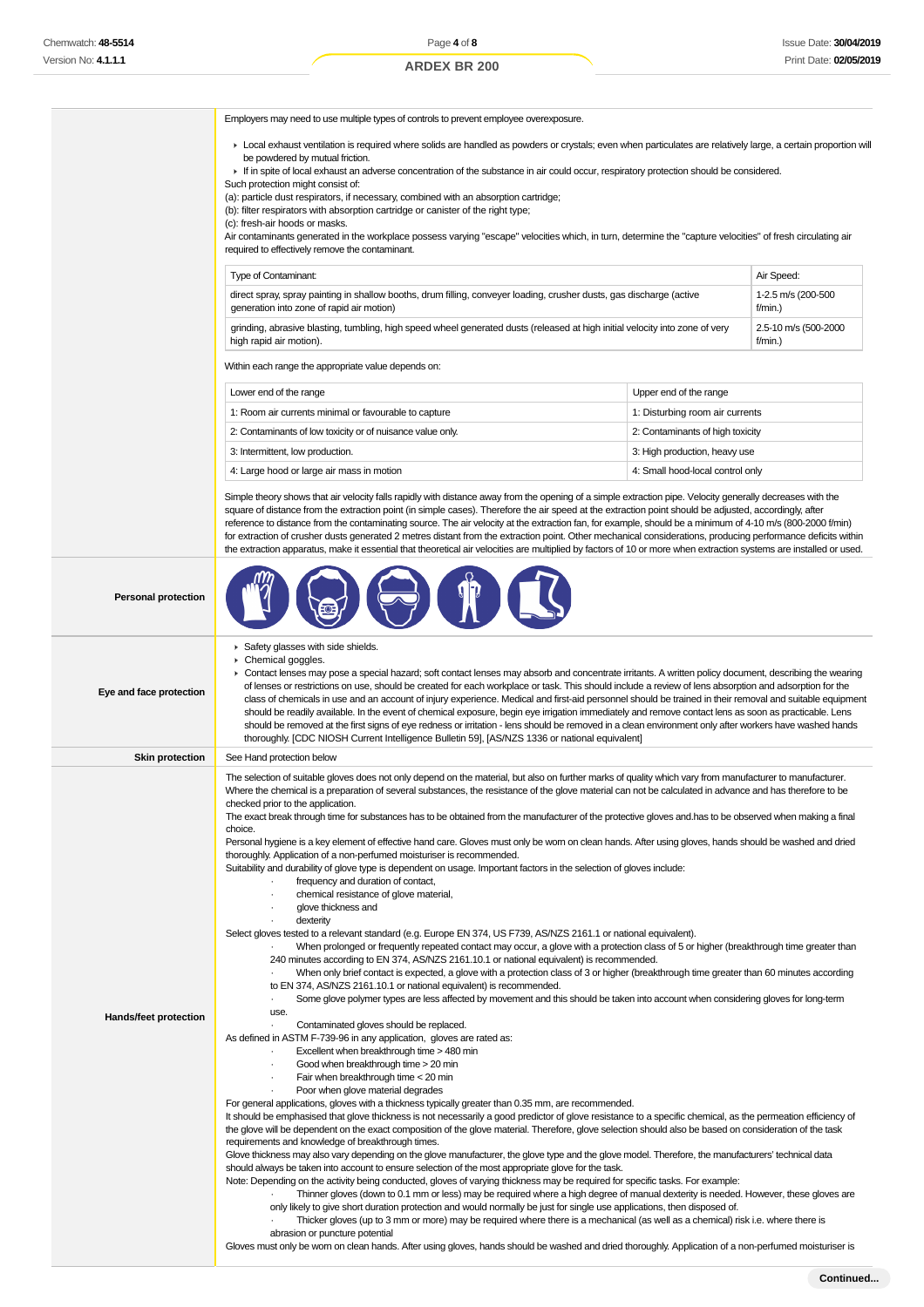Employers may need to use multiple types of controls to prevent employee overexposure.

- Local exhaust ventilation is required where solids are handled as powders or crystals; even when particulates are relatively large, a certain proportion will be powdered by mutual friction.
- If in spite of local exhaust an adverse concentration of the substance in air could occur, respiratory protection should be considered.

Such protection might consist of:

(a): particle dust respirators, if necessary, combined with an absorption cartridge;

(b): filter respirators with absorption cartridge or canister of the right type;

(c): fresh-air hoods or masks.

Air contaminants generated in the workplace possess varying "escape" velocities which, in turn, determine the "capture velocities" of fresh circulating air required to effectively remove the contaminant.

| Type of Contaminant:                                                                                                         | Air Speed:           |
|------------------------------------------------------------------------------------------------------------------------------|----------------------|
| direct spray, spray painting in shallow booths, drum filling, conveyer loading, crusher dusts, gas discharge (active         | 1-2.5 m/s (200-500   |
| generation into zone of rapid air motion)                                                                                    | $f/min.$ )           |
| grinding, abrasive blasting, tumbling, high speed wheel generated dusts (released at high initial velocity into zone of very | 2.5-10 m/s (500-2000 |
| high rapid air motion).                                                                                                      | $f/min.$ )           |

Within each range the appropriate value depends on:

| Lower end of the range                                     | Upper end of the range           |  |
|------------------------------------------------------------|----------------------------------|--|
| 1: Room air currents minimal or favourable to capture      | 1: Disturbing room air currents  |  |
| 2: Contaminants of low toxicity or of nuisance value only. | 2: Contaminants of high toxicity |  |
| 3: Intermittent, low production.                           | 3: High production, heavy use    |  |
| 4: Large hood or large air mass in motion                  | 4: Small hood-local control only |  |

Simple theory shows that air velocity falls rapidly with distance away from the opening of a simple extraction pipe. Velocity generally decreases with the square of distance from the extraction point (in simple cases). Therefore the air speed at the extraction point should be adjusted, accordingly, after reference to distance from the contaminating source. The air velocity at the extraction fan, for example, should be a minimum of 4-10 m/s (800-2000 f/min) for extraction of crusher dusts generated 2 metres distant from the extraction point. Other mechanical considerations, producing performance deficits within the extraction apparatus, make it essential that theoretical air velocities are multiplied by factors of 10 or more when extraction systems are installed or used.



| Eye and face protection | Safety glasses with side shields.<br>Chemical goggles.<br>• Contact lenses may pose a special hazard; soft contact lenses may absorb and concentrate irritants. A written policy document, describing the wearing<br>of lenses or restrictions on use, should be created for each workplace or task. This should include a review of lens absorption and adsorption for the<br>class of chemicals in use and an account of injury experience. Medical and first-aid personnel should be trained in their removal and suitable equipment<br>should be readily available. In the event of chemical exposure, begin eye irrigation immediately and remove contact lens as soon as practicable. Lens<br>should be removed at the first signs of eye redness or irritation - lens should be removed in a clean environment only after workers have washed hands<br>thoroughly. [CDC NIOSH Current Intelligence Bulletin 59], [AS/NZS 1336 or national equivalent]                                                                                                                                                                                                                                                                                                                                                                                                                                                                                                                                                                                                                                                                                                                                                                                                                                                                                                                                                                                                                                                                                                                                                                                                                                                                                                                                                                                                                                                                                                                                                                                                                                                                                                                                                                                                                                                                                                                                                                                                                                                                                                                                                                                                                                                                                                                                                                                                                                          |
|-------------------------|-------------------------------------------------------------------------------------------------------------------------------------------------------------------------------------------------------------------------------------------------------------------------------------------------------------------------------------------------------------------------------------------------------------------------------------------------------------------------------------------------------------------------------------------------------------------------------------------------------------------------------------------------------------------------------------------------------------------------------------------------------------------------------------------------------------------------------------------------------------------------------------------------------------------------------------------------------------------------------------------------------------------------------------------------------------------------------------------------------------------------------------------------------------------------------------------------------------------------------------------------------------------------------------------------------------------------------------------------------------------------------------------------------------------------------------------------------------------------------------------------------------------------------------------------------------------------------------------------------------------------------------------------------------------------------------------------------------------------------------------------------------------------------------------------------------------------------------------------------------------------------------------------------------------------------------------------------------------------------------------------------------------------------------------------------------------------------------------------------------------------------------------------------------------------------------------------------------------------------------------------------------------------------------------------------------------------------------------------------------------------------------------------------------------------------------------------------------------------------------------------------------------------------------------------------------------------------------------------------------------------------------------------------------------------------------------------------------------------------------------------------------------------------------------------------------------------------------------------------------------------------------------------------------------------------------------------------------------------------------------------------------------------------------------------------------------------------------------------------------------------------------------------------------------------------------------------------------------------------------------------------------------------------------------------------------------------------------------------------------------------------------------------------|
| <b>Skin protection</b>  | See Hand protection below                                                                                                                                                                                                                                                                                                                                                                                                                                                                                                                                                                                                                                                                                                                                                                                                                                                                                                                                                                                                                                                                                                                                                                                                                                                                                                                                                                                                                                                                                                                                                                                                                                                                                                                                                                                                                                                                                                                                                                                                                                                                                                                                                                                                                                                                                                                                                                                                                                                                                                                                                                                                                                                                                                                                                                                                                                                                                                                                                                                                                                                                                                                                                                                                                                                                                                                                                                             |
| Hands/feet protection   | The selection of suitable gloves does not only depend on the material, but also on further marks of quality which vary from manufacturer to manufacturer.<br>Where the chemical is a preparation of several substances, the resistance of the glove material can not be calculated in advance and has therefore to be<br>checked prior to the application.<br>The exact break through time for substances has to be obtained from the manufacturer of the protective gloves and has to be observed when making a final<br>choice.<br>Personal hygiene is a key element of effective hand care. Gloves must only be worn on clean hands. After using gloves, hands should be washed and dried<br>thoroughly. Application of a non-perfumed moisturiser is recommended.<br>Suitability and durability of glove type is dependent on usage. Important factors in the selection of gloves include:<br>frequency and duration of contact,<br>chemical resistance of glove material,<br>$\cdot$<br>glove thickness and<br>dexterity<br>Select gloves tested to a relevant standard (e.g. Europe EN 374, US F739, AS/NZS 2161.1 or national equivalent).<br>When prolonged or frequently repeated contact may occur, a glove with a protection class of 5 or higher (breakthrough time greater than<br>240 minutes according to EN 374, AS/NZS 2161.10.1 or national equivalent) is recommended.<br>When only brief contact is expected, a glove with a protection class of 3 or higher (breakthrough time greater than 60 minutes according<br>to EN 374, AS/NZS 2161.10.1 or national equivalent) is recommended.<br>Some glove polymer types are less affected by movement and this should be taken into account when considering gloves for long-term<br>$\cdot$<br>use.<br>Contaminated gloves should be replaced.<br>As defined in ASTM F-739-96 in any application, gloves are rated as:<br>Excellent when breakthrough time > 480 min<br>Good when breakthrough time > 20 min<br>$\cdot$<br>Fair when breakthrough time < 20 min<br>Poor when glove material degrades<br>For general applications, gloves with a thickness typically greater than 0.35 mm, are recommended.<br>It should be emphasised that glove thickness is not necessarily a good predictor of glove resistance to a specific chemical, as the permeation efficiency of<br>the glove will be dependent on the exact composition of the glove material. Therefore, glove selection should also be based on consideration of the task<br>requirements and knowledge of breakthrough times.<br>Glove thickness may also vary depending on the glove manufacturer, the glove type and the glove model. Therefore, the manufacturers' technical data<br>should always be taken into account to ensure selection of the most appropriate glove for the task.<br>Note: Depending on the activity being conducted, gloves of varying thickness may be required for specific tasks. For example:<br>Thinner gloves (down to 0.1 mm or less) may be required where a high degree of manual dexterity is needed. However, these gloves are<br>only likely to give short duration protection and would normally be just for single use applications, then disposed of.<br>Thicker gloves (up to 3 mm or more) may be required where there is a mechanical (as well as a chemical) risk i.e. where there is<br>abrasion or puncture potential |

Gloves must only be worn on clean hands. After using gloves, hands should be washed and dried thoroughly. Application of a non-perfumed moisturiser is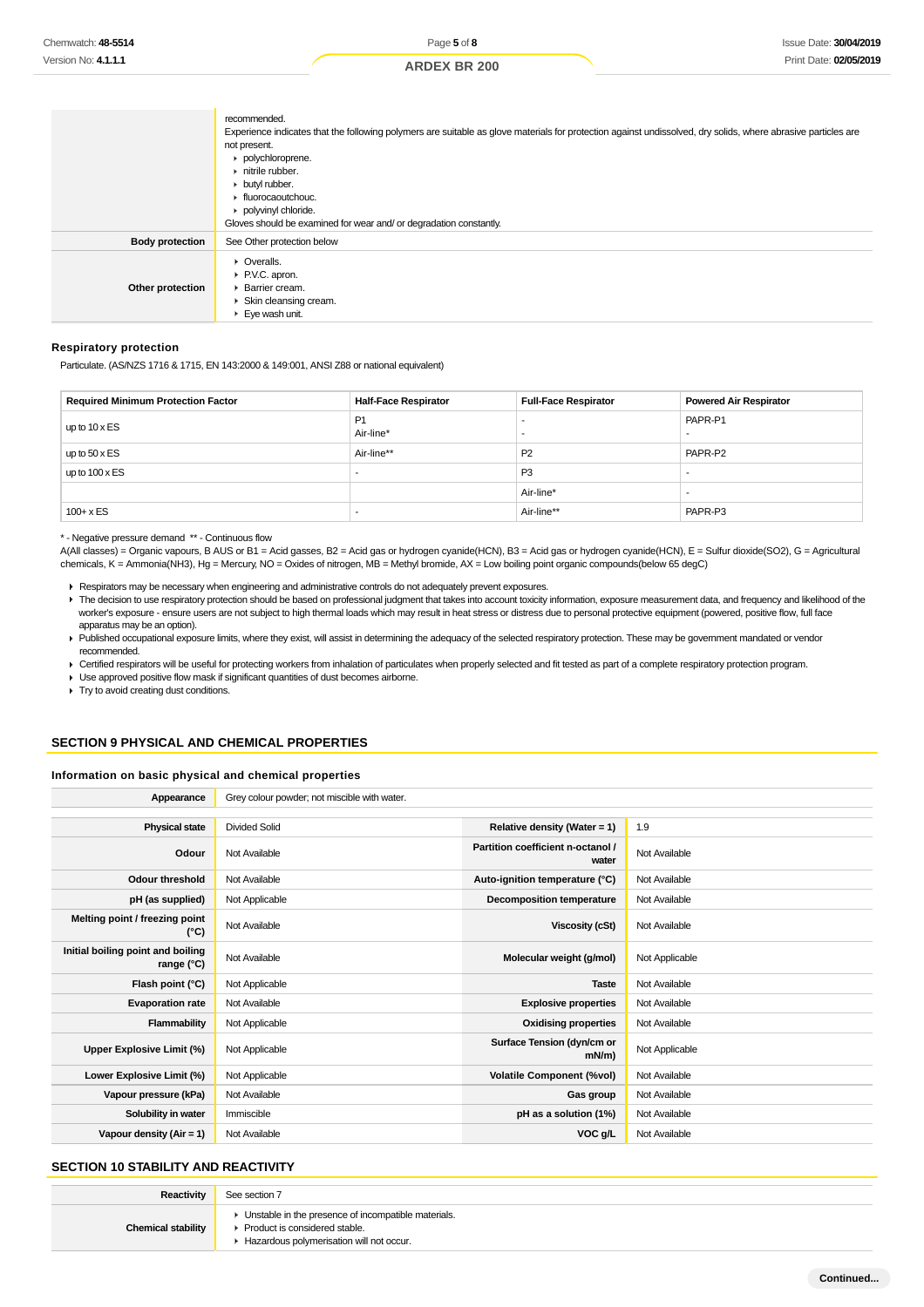|                        | recommended.<br>Experience indicates that the following polymers are suitable as glove materials for protection against undissolved, dry solids, where abrasive particles are<br>not present.<br>polychloroprene.<br>$\triangleright$ nitrile rubber.<br>butyl rubber.<br>• fluorocaoutchouc.<br>polyvinyl chloride.<br>Gloves should be examined for wear and/ or degradation constantly. |
|------------------------|--------------------------------------------------------------------------------------------------------------------------------------------------------------------------------------------------------------------------------------------------------------------------------------------------------------------------------------------------------------------------------------------|
| <b>Body protection</b> | See Other protection below                                                                                                                                                                                                                                                                                                                                                                 |
| Other protection       | • Overalls.<br>▶ P.V.C. apron.<br>▶ Barrier cream.<br>Skin cleansing cream.<br>$\blacktriangleright$ Eye wash unit.                                                                                                                                                                                                                                                                        |

## **Respiratory protection**

Particulate. (AS/NZS 1716 & 1715, EN 143:2000 & 149:001, ANSI Z88 or national equivalent)

| <b>Required Minimum Protection Factor</b> | <b>Half-Face Respirator</b> | <b>Full-Face Respirator</b> | <b>Powered Air Respirator</b> |
|-------------------------------------------|-----------------------------|-----------------------------|-------------------------------|
| up to $10 \times ES$                      | P1<br>Air-line*             |                             | PAPR-P1                       |
| up to $50 \times ES$                      | Air-line**                  | P <sub>2</sub>              | PAPR-P2                       |
| up to $100 \times ES$                     | -                           | P <sub>3</sub>              |                               |
|                                           |                             | Air-line*                   |                               |
| $100 + x ES$                              | -                           | Air-line**                  | PAPR-P3                       |

\* - Negative pressure demand \*\* - Continuous flow

A(All classes) = Organic vapours, B AUS or B1 = Acid gasses, B2 = Acid gas or hydrogen cyanide(HCN), B3 = Acid gas or hydrogen cyanide(HCN), E = Sulfur dioxide(SO2), G = Agricultural chemicals, K = Ammonia(NH3), Hg = Mercury, NO = Oxides of nitrogen, MB = Methyl bromide, AX = Low boiling point organic compounds(below 65 degC)

Respirators may be necessary when engineering and administrative controls do not adequately prevent exposures.

- The decision to use respiratory protection should be based on professional judgment that takes into account toxicity information, exposure measurement data, and frequency and likelihood of the worker's exposure - ensure users are not subject to high thermal loads which may result in heat stress or distress due to personal protective equipment (powered, positive flow, full face apparatus may be an option).
- Published occupational exposure limits, where they exist, will assist in determining the adequacy of the selected respiratory protection. These may be government mandated or vendor recommended.

▶ Certified respirators will be useful for protecting workers from inhalation of particulates when properly selected and fit tested as part of a complete respiratory protection program.

Use approved positive flow mask if significant quantities of dust becomes airborne.

**Try to avoid creating dust conditions.** 

## **SECTION 9 PHYSICAL AND CHEMICAL PROPERTIES**

## **Information on basic physical and chemical properties**

| Grey colour powder; not miscible with water. |                                            |                |
|----------------------------------------------|--------------------------------------------|----------------|
|                                              |                                            |                |
| <b>Divided Solid</b>                         | Relative density (Water = 1)               | 1.9            |
| Not Available                                | Partition coefficient n-octanol /<br>water | Not Available  |
| Not Available                                | Auto-ignition temperature (°C)             | Not Available  |
| Not Applicable                               | Decomposition temperature                  | Not Available  |
| Not Available                                | Viscosity (cSt)                            | Not Available  |
| Not Available                                | Molecular weight (g/mol)                   | Not Applicable |
| Not Applicable                               | <b>Taste</b>                               | Not Available  |
| Not Available                                | <b>Explosive properties</b>                | Not Available  |
| Not Applicable                               | <b>Oxidising properties</b>                | Not Available  |
| Not Applicable                               | Surface Tension (dyn/cm or<br>$mN/m$ )     | Not Applicable |
| Not Applicable                               | <b>Volatile Component (%vol)</b>           | Not Available  |
| Not Available                                | Gas group                                  | Not Available  |
| Immiscible                                   | pH as a solution (1%)                      | Not Available  |
| Not Available                                | VOC g/L                                    | Not Available  |
|                                              |                                            |                |

## **SECTION 10 STABILITY AND REACTIVITY**

| Reactivity                | See section 7                                                                                                                        |
|---------------------------|--------------------------------------------------------------------------------------------------------------------------------------|
| <b>Chemical stability</b> | • Unstable in the presence of incompatible materials.<br>▶ Product is considered stable.<br>Hazardous polymerisation will not occur. |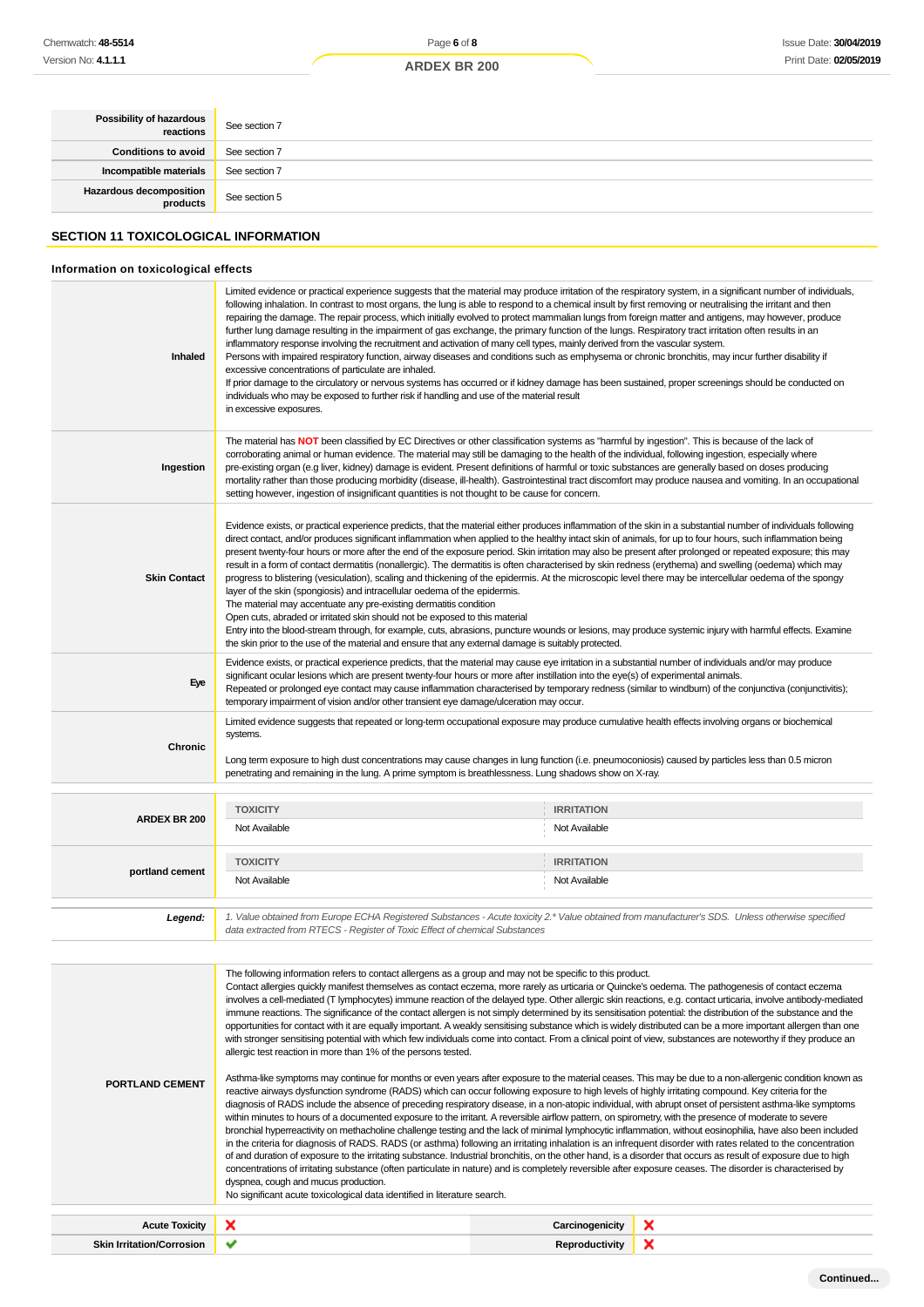| <b>Possibility of hazardous</b> | See section 7 |
|---------------------------------|---------------|
| <b>Conditions to avoid</b>      | See section 7 |
| Incompatible materials          | See section 7 |
| Hazardous decomposition         | See section 5 |

## **SECTION 11 TOXICOLOGICAL INFORMATION**

## **Information on toxicological effects**

| Inhaled                          | Limited evidence or practical experience suggests that the material may produce irritation of the respiratory system, in a significant number of individuals,<br>following inhalation. In contrast to most organs, the lung is able to respond to a chemical insult by first removing or neutralising the irritant and then<br>repairing the damage. The repair process, which initially evolved to protect mammalian lungs from foreign matter and antigens, may however, produce<br>further lung damage resulting in the impairment of gas exchange, the primary function of the lungs. Respiratory tract irritation often results in an<br>inflammatory response involving the recruitment and activation of many cell types, mainly derived from the vascular system.<br>Persons with impaired respiratory function, airway diseases and conditions such as emphysema or chronic bronchitis, may incur further disability if<br>excessive concentrations of particulate are inhaled.<br>If prior damage to the circulatory or nervous systems has occurred or if kidney damage has been sustained, proper screenings should be conducted on<br>individuals who may be exposed to further risk if handling and use of the material result<br>in excessive exposures.                                                                                                                                                                                                                                                                                                                                                                                                                                                                                                                                                                                                                                                                                                                                                                                                                                                                                                                                                                                                                                                                                                                                                        |                       |   |
|----------------------------------|--------------------------------------------------------------------------------------------------------------------------------------------------------------------------------------------------------------------------------------------------------------------------------------------------------------------------------------------------------------------------------------------------------------------------------------------------------------------------------------------------------------------------------------------------------------------------------------------------------------------------------------------------------------------------------------------------------------------------------------------------------------------------------------------------------------------------------------------------------------------------------------------------------------------------------------------------------------------------------------------------------------------------------------------------------------------------------------------------------------------------------------------------------------------------------------------------------------------------------------------------------------------------------------------------------------------------------------------------------------------------------------------------------------------------------------------------------------------------------------------------------------------------------------------------------------------------------------------------------------------------------------------------------------------------------------------------------------------------------------------------------------------------------------------------------------------------------------------------------------------------------------------------------------------------------------------------------------------------------------------------------------------------------------------------------------------------------------------------------------------------------------------------------------------------------------------------------------------------------------------------------------------------------------------------------------------------------------------------------------------------------------------------------------------------------|-----------------------|---|
| Ingestion                        | The material has NOT been classified by EC Directives or other classification systems as "harmful by ingestion". This is because of the lack of<br>corroborating animal or human evidence. The material may still be damaging to the health of the individual, following ingestion, especially where<br>pre-existing organ (e.g liver, kidney) damage is evident. Present definitions of harmful or toxic substances are generally based on doses producing<br>mortality rather than those producing morbidity (disease, ill-health). Gastrointestinal tract discomfort may produce nausea and vomiting. In an occupational<br>setting however, ingestion of insignificant quantities is not thought to be cause for concern.                                                                                                                                                                                                                                                                                                                                                                                                                                                                                                                                                                                                                                                                                                                                                                                                                                                                                                                                                                                                                                                                                                                                                                                                                                                                                                                                                                                                                                                                                                                                                                                                                                                                                                  |                       |   |
| <b>Skin Contact</b>              | Evidence exists, or practical experience predicts, that the material either produces inflammation of the skin in a substantial number of individuals following<br>direct contact, and/or produces significant inflammation when applied to the healthy intact skin of animals, for up to four hours, such inflammation being<br>present twenty-four hours or more after the end of the exposure period. Skin irritation may also be present after prolonged or repeated exposure; this may<br>result in a form of contact dermatitis (nonallergic). The dermatitis is often characterised by skin redness (erythema) and swelling (oedema) which may<br>progress to blistering (vesiculation), scaling and thickening of the epidermis. At the microscopic level there may be intercellular oedema of the spongy<br>layer of the skin (spongiosis) and intracellular oedema of the epidermis.<br>The material may accentuate any pre-existing dermatitis condition<br>Open cuts, abraded or irritated skin should not be exposed to this material<br>Entry into the blood-stream through, for example, cuts, abrasions, puncture wounds or lesions, may produce systemic injury with harmful effects. Examine<br>the skin prior to the use of the material and ensure that any external damage is suitably protected.                                                                                                                                                                                                                                                                                                                                                                                                                                                                                                                                                                                                                                                                                                                                                                                                                                                                                                                                                                                                                                                                                                          |                       |   |
| Eye                              | Evidence exists, or practical experience predicts, that the material may cause eye irritation in a substantial number of individuals and/or may produce<br>significant ocular lesions which are present twenty-four hours or more after instillation into the eye(s) of experimental animals.<br>Repeated or prolonged eye contact may cause inflammation characterised by temporary redness (similar to windburn) of the conjunctiva (conjunctivitis);<br>temporary impairment of vision and/or other transient eye damage/ulceration may occur.                                                                                                                                                                                                                                                                                                                                                                                                                                                                                                                                                                                                                                                                                                                                                                                                                                                                                                                                                                                                                                                                                                                                                                                                                                                                                                                                                                                                                                                                                                                                                                                                                                                                                                                                                                                                                                                                              |                       |   |
| Chronic                          | Limited evidence suggests that repeated or long-term occupational exposure may produce cumulative health effects involving organs or biochemical<br>systems.<br>Long term exposure to high dust concentrations may cause changes in lung function (i.e. pneumoconiosis) caused by particles less than 0.5 micron<br>penetrating and remaining in the lung. A prime symptom is breathlessness. Lung shadows show on X-ray.                                                                                                                                                                                                                                                                                                                                                                                                                                                                                                                                                                                                                                                                                                                                                                                                                                                                                                                                                                                                                                                                                                                                                                                                                                                                                                                                                                                                                                                                                                                                                                                                                                                                                                                                                                                                                                                                                                                                                                                                      |                       |   |
|                                  | <b>TOXICITY</b>                                                                                                                                                                                                                                                                                                                                                                                                                                                                                                                                                                                                                                                                                                                                                                                                                                                                                                                                                                                                                                                                                                                                                                                                                                                                                                                                                                                                                                                                                                                                                                                                                                                                                                                                                                                                                                                                                                                                                                                                                                                                                                                                                                                                                                                                                                                                                                                                                | <b>IRRITATION</b>     |   |
| ARDEX BR 200                     | Not Available                                                                                                                                                                                                                                                                                                                                                                                                                                                                                                                                                                                                                                                                                                                                                                                                                                                                                                                                                                                                                                                                                                                                                                                                                                                                                                                                                                                                                                                                                                                                                                                                                                                                                                                                                                                                                                                                                                                                                                                                                                                                                                                                                                                                                                                                                                                                                                                                                  | Not Available         |   |
|                                  | <b>TOXICITY</b>                                                                                                                                                                                                                                                                                                                                                                                                                                                                                                                                                                                                                                                                                                                                                                                                                                                                                                                                                                                                                                                                                                                                                                                                                                                                                                                                                                                                                                                                                                                                                                                                                                                                                                                                                                                                                                                                                                                                                                                                                                                                                                                                                                                                                                                                                                                                                                                                                | <b>IRRITATION</b>     |   |
| portland cement                  | Not Available                                                                                                                                                                                                                                                                                                                                                                                                                                                                                                                                                                                                                                                                                                                                                                                                                                                                                                                                                                                                                                                                                                                                                                                                                                                                                                                                                                                                                                                                                                                                                                                                                                                                                                                                                                                                                                                                                                                                                                                                                                                                                                                                                                                                                                                                                                                                                                                                                  | Not Available         |   |
| Legend:                          | 1. Value obtained from Europe ECHA Registered Substances - Acute toxicity 2.* Value obtained from manufacturer's SDS. Unless otherwise specified<br>data extracted from RTECS - Register of Toxic Effect of chemical Substances                                                                                                                                                                                                                                                                                                                                                                                                                                                                                                                                                                                                                                                                                                                                                                                                                                                                                                                                                                                                                                                                                                                                                                                                                                                                                                                                                                                                                                                                                                                                                                                                                                                                                                                                                                                                                                                                                                                                                                                                                                                                                                                                                                                                |                       |   |
| PORTLAND CEMENT                  | The following information refers to contact allergens as a group and may not be specific to this product.<br>Contact allergies quickly manifest themselves as contact eczema, more rarely as urticaria or Quincke's oedema. The pathogenesis of contact eczema<br>involves a cell-mediated (T lymphocytes) immune reaction of the delayed type. Other allergic skin reactions, e.g. contact urticaria, involve antibody-mediated<br>immune reactions. The significance of the contact allergen is not simply determined by its sensitisation potential: the distribution of the substance and the<br>opportunities for contact with it are equally important. A weakly sensitising substance which is widely distributed can be a more important allergen than one<br>with stronger sensitising potential with which few individuals come into contact. From a clinical point of view, substances are noteworthy if they produce an<br>allergic test reaction in more than 1% of the persons tested.<br>Asthma-like symptoms may continue for months or even years after exposure to the material ceases. This may be due to a non-allergenic condition known as<br>reactive airways dysfunction syndrome (RADS) which can occur following exposure to high levels of highly irritating compound. Key criteria for the<br>diagnosis of RADS include the absence of preceding respiratory disease, in a non-atopic individual, with abrupt onset of persistent asthma-like symptoms<br>within minutes to hours of a documented exposure to the irritant. A reversible airflow pattern, on spirometry, with the presence of moderate to severe<br>bronchial hyperreactivity on methacholine challenge testing and the lack of minimal lymphocytic inflammation, without eosinophilia, have also been included<br>in the criteria for diagnosis of RADS. RADS (or asthma) following an irritating inhalation is an infrequent disorder with rates related to the concentration<br>of and duration of exposure to the irritating substance. Industrial bronchitis, on the other hand, is a disorder that occurs as result of exposure due to high<br>concentrations of irritating substance (often particulate in nature) and is completely reversible after exposure ceases. The disorder is characterised by<br>dyspnea, cough and mucus production.<br>No significant acute toxicological data identified in literature search. |                       |   |
| <b>Acute Toxicity</b>            | ×                                                                                                                                                                                                                                                                                                                                                                                                                                                                                                                                                                                                                                                                                                                                                                                                                                                                                                                                                                                                                                                                                                                                                                                                                                                                                                                                                                                                                                                                                                                                                                                                                                                                                                                                                                                                                                                                                                                                                                                                                                                                                                                                                                                                                                                                                                                                                                                                                              | Carcinogenicity       | × |
| <b>Skin Irritation/Corrosion</b> | ✔                                                                                                                                                                                                                                                                                                                                                                                                                                                                                                                                                                                                                                                                                                                                                                                                                                                                                                                                                                                                                                                                                                                                                                                                                                                                                                                                                                                                                                                                                                                                                                                                                                                                                                                                                                                                                                                                                                                                                                                                                                                                                                                                                                                                                                                                                                                                                                                                                              | <b>Reproductivity</b> | × |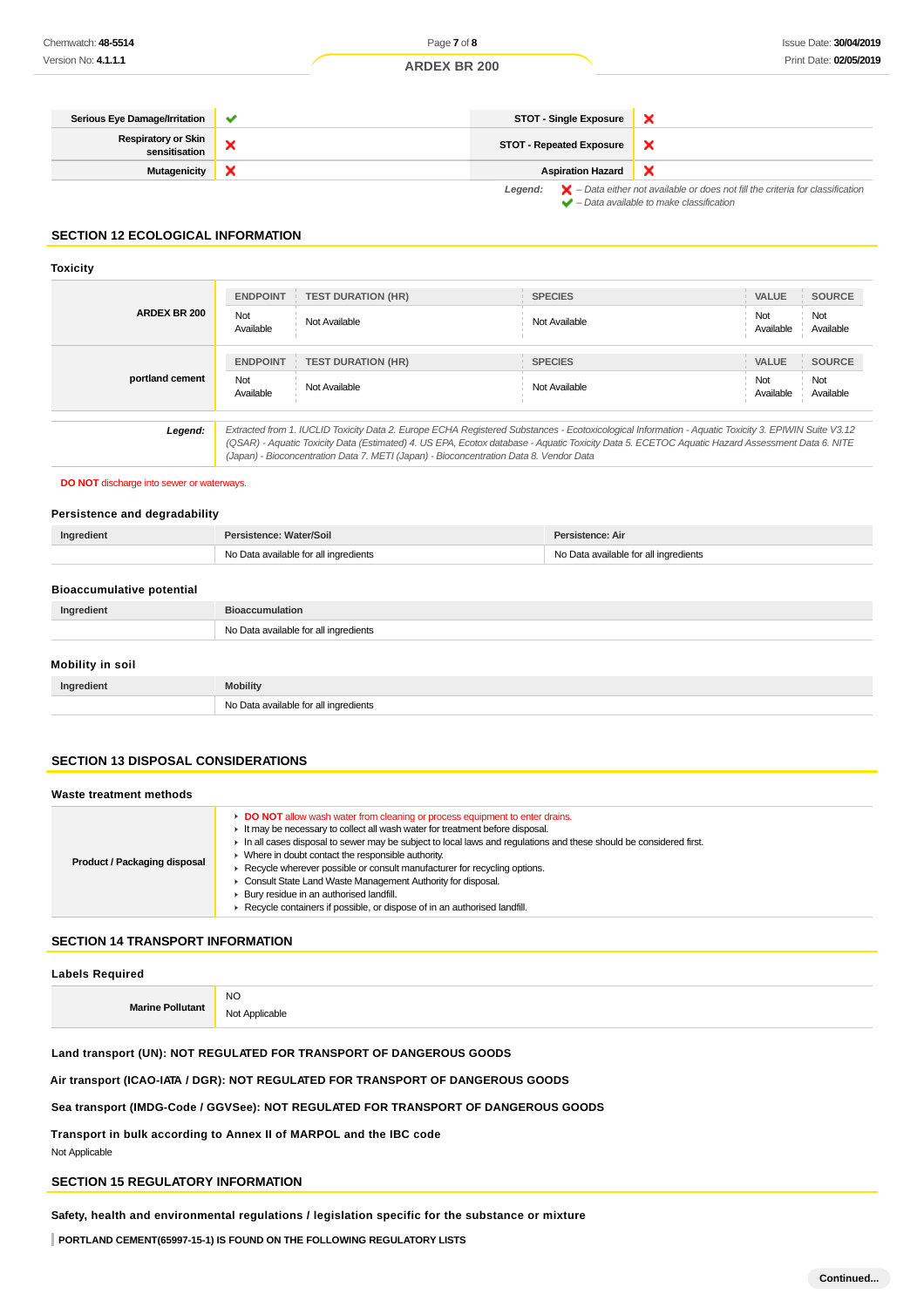| Serious Eye Damage/Irritation               | $\checkmark$              | <b>STOT - Single Exposure</b>   |                                                                                                                                                                           |
|---------------------------------------------|---------------------------|---------------------------------|---------------------------------------------------------------------------------------------------------------------------------------------------------------------------|
| <b>Respiratory or Skin</b><br>sensitisation |                           | <b>STOT - Repeated Exposure</b> |                                                                                                                                                                           |
| <b>Mutagenicity</b>                         | $\boldsymbol{\mathsf{x}}$ | <b>Aspiration Hazard</b>        |                                                                                                                                                                           |
|                                             |                           |                                 | <b>Legend:</b> $\mathbf{X}$ – Data either not available or does not fill the criteria for classification<br>$\blacktriangleright$ - Data available to make classification |

#### **SECTION 12 ECOLOGICAL INFORMATION**

## **Toxicity**

| <b>ARDEX BR 200</b> | <b>ENDPOINT</b>  | <b>TEST DURATION (HR)</b>                                                                                                                                                                                                                                                                                                                                                                       | <b>SPECIES</b> | <b>VALUE</b>     | <b>SOURCE</b>    |
|---------------------|------------------|-------------------------------------------------------------------------------------------------------------------------------------------------------------------------------------------------------------------------------------------------------------------------------------------------------------------------------------------------------------------------------------------------|----------------|------------------|------------------|
|                     | Not<br>Available | Not Available                                                                                                                                                                                                                                                                                                                                                                                   | Not Available  | Not<br>Available | Not<br>Available |
|                     | <b>ENDPOINT</b>  | <b>TEST DURATION (HR)</b>                                                                                                                                                                                                                                                                                                                                                                       | <b>SPECIES</b> | <b>VALUE</b>     | <b>SOURCE</b>    |
| portland cement     | Not<br>Available | Not Available                                                                                                                                                                                                                                                                                                                                                                                   | Not Available  | Not<br>Available | Not<br>Available |
| Legend:             |                  | Extracted from 1. IUCLID Toxicity Data 2. Europe ECHA Registered Substances - Ecotoxicological Information - Aquatic Toxicity 3. EPIWIN Suite V3.12<br>(QSAR) - Aquatic Toxicity Data (Estimated) 4. US EPA, Ecotox database - Aquatic Toxicity Data 5. ECETOC Aquatic Hazard Assessment Data 6. NITE<br>(Japan) - Bioconcentration Data 7. METI (Japan) - Bioconcentration Data 8. Vendor Data |                |                  |                  |

## **DO NOT** discharge into sewer or waterways.

#### **Persistence and degradability**

| Ingredient                       | Persistence: Water/Soil               | Persistence: Air                      |
|----------------------------------|---------------------------------------|---------------------------------------|
|                                  | No Data available for all ingredients | No Data available for all ingredients |
|                                  |                                       |                                       |
| <b>Bioaccumulative potential</b> |                                       |                                       |

| Ingredient       | <b>Bioaccumulation</b>                |
|------------------|---------------------------------------|
|                  | No Data available for all ingredients |
| Mobility in soil |                                       |
| Ingredient       | <b>Mobility</b>                       |
|                  | No Data available for all ingredients |

## **SECTION 13 DISPOSAL CONSIDERATIONS**

#### **Waste treatment methods**

| Product / Packaging disposal | ► DO NOT allow wash water from cleaning or process equipment to enter drains.<br>It may be necessary to collect all wash water for treatment before disposal.<br>In all cases disposal to sewer may be subject to local laws and requlations and these should be considered first.<br>> Where in doubt contact the responsible authority.<br>Recycle wherever possible or consult manufacturer for recycling options.<br>Consult State Land Waste Management Authority for disposal.<br>Bury residue in an authorised landfill.<br>Recycle containers if possible, or dispose of in an authorised landfill. |
|------------------------------|-------------------------------------------------------------------------------------------------------------------------------------------------------------------------------------------------------------------------------------------------------------------------------------------------------------------------------------------------------------------------------------------------------------------------------------------------------------------------------------------------------------------------------------------------------------------------------------------------------------|
|------------------------------|-------------------------------------------------------------------------------------------------------------------------------------------------------------------------------------------------------------------------------------------------------------------------------------------------------------------------------------------------------------------------------------------------------------------------------------------------------------------------------------------------------------------------------------------------------------------------------------------------------------|

## **SECTION 14 TRANSPORT INFORMATION**

## **Labels Required**

|                         | <b>NO</b>     |
|-------------------------|---------------|
| <b>Marine Pollutant</b> | Not Applicabl |

## **Land transport (UN): NOT REGULATED FOR TRANSPORT OF DANGEROUS GOODS**

## **Air transport (ICAO-IATA / DGR): NOT REGULATED FOR TRANSPORT OF DANGEROUS GOODS**

## **Sea transport (IMDG-Code / GGVSee): NOT REGULATED FOR TRANSPORT OF DANGEROUS GOODS**

**Transport in bulk according to Annex II of MARPOL and the IBC code** Not Applicable

## **SECTION 15 REGULATORY INFORMATION**

## **Safety, health and environmental regulations / legislation specific for the substance or mixture**

**PORTLAND CEMENT(65997-15-1) IS FOUND ON THE FOLLOWING REGULATORY LISTS**